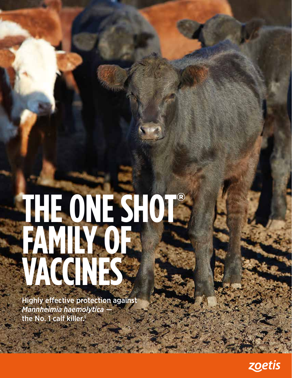# **THE ONE SHOT**® **FAMILY OF VACCINES**

Highly effective protection against *Mannheimia haemolytica* the No. 1 calf killer.<sup>1</sup>

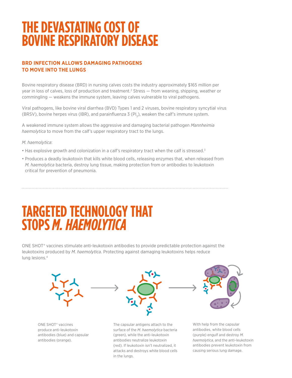## **THE DEVASTATING COST OF BOVINE RESPIRATORY DISEASE**

## **BRD INFECTION ALLOWS DAMAGING PATHOGENS TO MOVE INTO THE LUNGS**

Bovine respiratory disease (BRD) in nursing calves costs the industry approximately \$165 million per year in loss of calves, loss of production and treatment.<sup>2</sup> Stress — from weaning, shipping, weather or commingling — weakens the immune system, leaving calves vulnerable to viral pathogens.

Viral pathogens, like bovine viral diarrhea (BVD) Types 1 and 2 viruses, bovine respiratory syncytial virus (BRSV), bovine herpes virus (IBR), and parainfluenza 3 (PI<sub>3</sub>), weaken the calf's immune system.

A weakened immune system allows the aggressive and damaging bacterial pathogen *Mannheimia haemolytica* to move from the calf's upper respiratory tract to the lungs.

*M. haemolytica*:

- Has explosive growth and colonization in a calf's respiratory tract when the calf is stressed.<sup>3</sup>
- Produces a deadly leukotoxin that kills white blood cells, releasing enzymes that, when released from *M. haemolytica* bacteria, destroy lung tissue, making protection from or antibodies to leukotoxin critical for prevention of pneumonia.

## **TARGETED TECHNOLOGY THAT STOPS** *M. HAEMOLYTICA*

ONE SHOT® vaccines stimulate anti-leukotoxin antibodies to provide predictable protection against the leukotoxins produced by *M. haemolytica.* Protecting against damaging leukotoxins helps reduce lung lesions.4



ONE SHOT® vaccines produce anti-leukotoxin antibodies (blue) and capsular antibodies (orange).

The capsular antigens attach to the surface of the *M. haemolytica* bacteria (green), while the anti-leukotoxin antibodies neutralize leukotoxin (red). If leukotoxin isn't neutralized, it attacks and destroys white blood cells in the lungs.

With help from the capsular antibodies, white blood cells (purple) engulf and destroy *M. haemolytica*, and the anti-leukotoxin antibodies prevent leukotoxin from causing serious lung damage.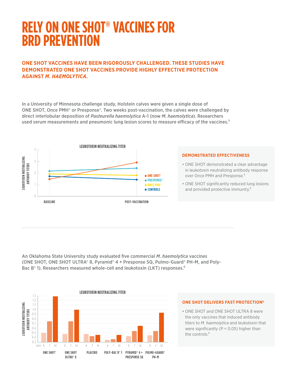## **RELY ON ONE SHOT® VACCINES FOR BRD PREVENTION**

### **ONE SHOT VACCINES HAVE BEEN RIGOROUSLY CHALLENGED. THESE STUDIES HAVE DEMONSTRATED ONE SHOT VACCINES PROVIDE HIGHLY EFFECTIVE PROTECTION AGAINST** *M. HAEMOLYTICA.*

In a University of Minnesota challenge study, Holstein calves were given a single dose of ONE SHOT, Once PMH® or Presponse®. Two weeks post-vaccination, the calves were challenged by direct interlobular deposition of *Pasteurella haemolytica* A-1 (now *M. haemolytica*). Researchers used serum measurements and pneumonic lung lesion scores to measure efficacy of the vaccines.<sup>5</sup>



#### **DEMONSTRATED EFFECTIVENESS**

- ONE SHOT demonstrated a clear advantage in leukotoxin neutralizing antibody response over Once PMH and Presponse.<sup>5</sup>
- ONE SHOT significantly reduced lung lesions and provided protective immunity.<sup>5</sup>

An Oklahoma State University study evaluated five commercial *M. haemolytica* vaccines (ONE SHOT, ONE SHOT ULTRA® 8, Pyramid® 4 + Presponse SQ, Pulmo-Guard® PH-M, and Poly-Bac B<sup>®</sup> 1). Researchers measured whole-cell and leukotoxin (LKT) responses.<sup>6</sup>



#### **ONE SHOT DELIVERS FAST PROTECTION6**

• ONE SHOT and ONE SHOT ULTRA 8 were the only vaccines that induced antibody titers to *M. haemolytica* and leukotoxin that were significantly (P < 0.05) higher than the controls.<sup>6</sup>